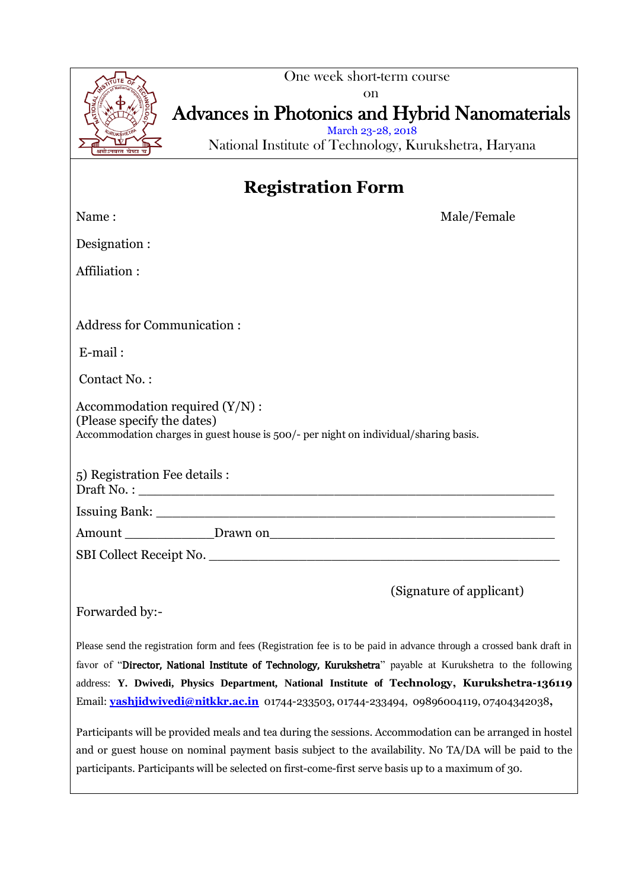

Forwarded by:-

Please send the registration form and fees (Registration fee is to be paid in advance through a crossed bank draft in favor of "Director, National Institute of Technology, Kurukshetra" payable at Kurukshetra to the following address: **Y. Dwivedi, Physics Department, National Institute of Technology, Kurukshetra-136119**  Email: **[yashjidwivedi@nitkkr.ac.in](mailto:yashjidwivedi@nitkkr.ac.in)** 01744-233503, 01744-233494, 09896004119, 07404342038**,**

Participants will be provided meals and tea during the sessions. Accommodation can be arranged in hostel and or guest house on nominal payment basis subject to the availability. No TA/DA will be paid to the participants. Participants will be selected on first-come-first serve basis up to a maximum of 30.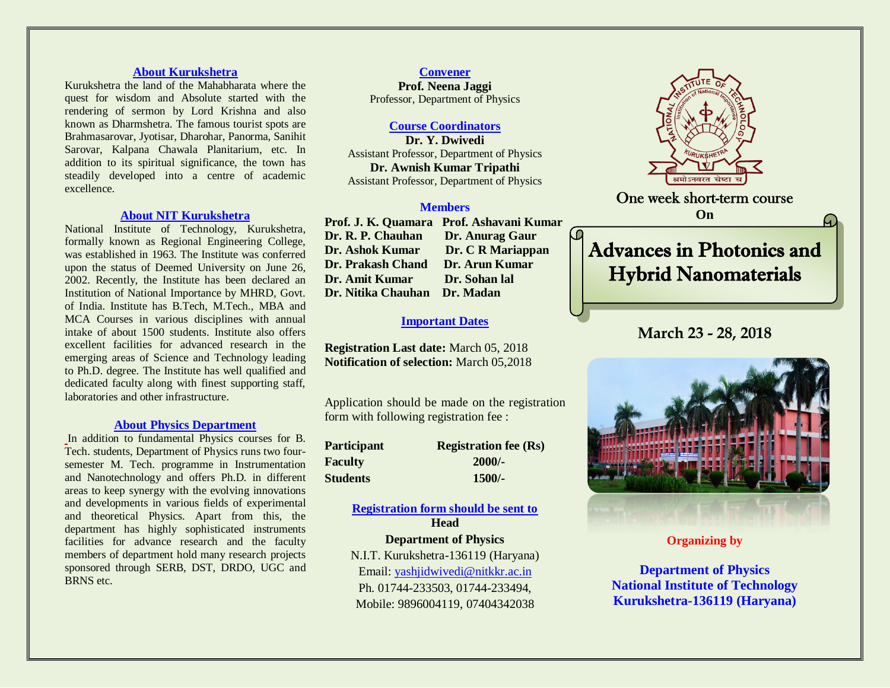### **About Kurukshetra**

Kurukshetra the land of the Mahabharata where the quest for wisdom and Absolute started with the rendering of sermon by Lord Krishna and also known as Dharmshetra. The famous tourist spots are Brahmasarovar, Jyotisar, Dharohar, Panorma, Sanihit Sarovar, Kalpana Chawala Planitarium, etc. In addition to its spiritual significance, the town has steadily developed into a centre of academic excellence.

### **About NIT Kurukshetra**

National Institute of Technology, Kurukshetra, formally known as Regional Engineering College, was established in 1963. The Institute was conferred upon the status of Deemed University on June 26, 2002. Recently, the Institute has been declared an Institution of National Importance by MHRD, Govt. of India. Institute has B.Tech, M.Tech., MBA and MCA Courses in various disciplines with annual intake of about 1500 students. Institute also offers excellent facilities for advanced research in the emerging areas of Science and Technology leading to Ph.D. degree. The Institute has well qualified and dedicated faculty along with finest supporting staff, laboratories and other infrastructure.

### **About Physics Department**

In addition to fundamental Physics courses for B. Tech. students, Department of Physics runs two foursemester M. Tech. programme in Instrumentation and Nanotechnology and offers Ph.D. in different areas to keep synergy with the evolving innovations and developments in various fields of experimental and theoretical Physics. Apart from this, the department has highly sophisticated instruments facilities for advance research and the faculty members of department hold many research projects sponsored through SERB, DST, DRDO, UGC and BRNS etc.

**Convener Prof. Neena Jaggi** Professor, Department of Physics

### **Course Coordinators**

**Dr. Y. Dwivedi** Assistant Professor, Department of Physics **Dr. Awnish Kumar Tripathi** Assistant Professor, Department of Physics

### **Members**

**Prof. J. K. Quamara Prof. Ashavani Kumar Dr. R. P. Chauhan Dr. Anurag Gaur Dr. Ashok Kumar Dr. C R Mariappan Dr. Prakash Chand Dr. Arun Kumar Dr. Amit Kumar Dr. Sohan lal Dr. Nitika Chauhan Dr. Madan** 

### **Important Dates**

**Registration Last date:** March 05, 2018 **Notification of selection:** March 05,2018

Application should be made on the registration form with following registration fee :

| <b>Participant</b> | <b>Registration fee (Rs)</b> |  |
|--------------------|------------------------------|--|
| <b>Faculty</b>     | $2000/-$                     |  |
| <b>Students</b>    | $1500/-$                     |  |

## **Registration form should be sent to Head**

### **Department of Physics**

N.I.T. Kurukshetra-136119 (Haryana) Email: [yashjidwivedi@nitkkr.ac.in](mailto:yashjidwivedi@nitkkr.ac.in) Ph. 01744-233503, 01744-233494, Mobile: 9896004119, 07404342038



One week short-term course **On** 

# Advances in Photonics and Hybrid Nanomaterials

# **March 23 - 28, 2018**



**Organizing by**

**Department of Physics National Institute of Technology Kurukshetra-136119 (Haryana)**